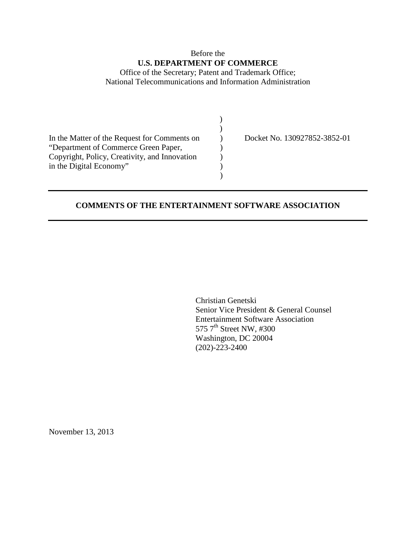## Before the **U.S. DEPARTMENT OF COMMERCE**

Office of the Secretary; Patent and Trademark Office; National Telecommunications and Information Administration

| In the Matter of the Request for Comments on  | Docket No. |
|-----------------------------------------------|------------|
| "Department of Commerce Green Paper,          |            |
| Copyright, Policy, Creativity, and Innovation |            |
| in the Digital Economy"                       |            |
|                                               |            |

130927852-3852-01

## **COMMENTS OF THE ENTERTAINMENT SOFTWARE ASSOCIATION**

Christian Genetski Senior Vice President & General Counsel Entertainment Software Association 575 7<sup>th</sup> Street NW, #300 Washington, DC 20004 (202)-223-2400

November 13, 2013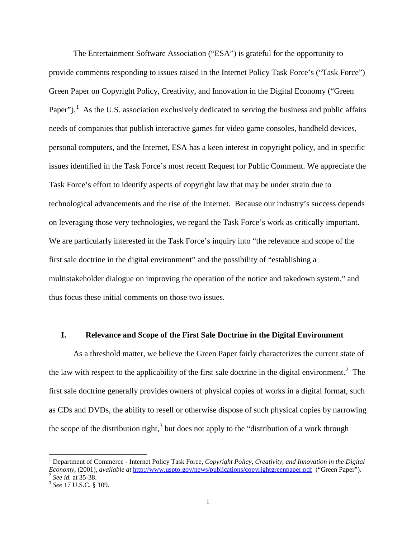The Entertainment Software Association ("ESA") is grateful for the opportunity to provide comments responding to issues raised in the Internet Policy Task Force's ("Task Force") Green Paper on Copyright Policy, Creativity, and Innovation in the Digital Economy ("Green Paper").<sup>[1](#page-1-0)</sup> As the U.S. association exclusively dedicated to serving the business and public affairs needs of companies that publish interactive games for video game consoles, handheld devices, personal computers, and the Internet, ESA has a keen interest in copyright policy, and in specific issues identified in the Task Force's most recent Request for Public Comment. We appreciate the Task Force's effort to identify aspects of copyright law that may be under strain due to technological advancements and the rise of the Internet. Because our industry's success depends on leveraging those very technologies, we regard the Task Force's work as critically important. We are particularly interested in the Task Force's inquiry into "the relevance and scope of the first sale doctrine in the digital environment" and the possibility of "establishing a multistakeholder dialogue on improving the operation of the notice and takedown system," and thus focus these initial comments on those two issues.

## **I. Relevance and Scope of the First Sale Doctrine in the Digital Environment**

As a threshold matter, we believe the Green Paper fairly characterizes the current state of the law with respect to the applicability of the first sale doctrine in the digital environment.<sup>[2](#page-1-1)</sup> The first sale doctrine generally provides owners of physical copies of works in a digital format, such as CDs and DVDs, the ability to resell or otherwise dispose of such physical copies by narrowing the scope of the distribution right,<sup>[3](#page-1-2)</sup> but does not apply to the "distribution of a work through

<span id="page-1-0"></span><sup>&</sup>lt;sup>1</sup> Department of Commerce - Internet Policy Task Force, *Copyright Policy, Creativity, and Innovation in the Digital Economy*, (2001), *available at* <http://www.uspto.gov/news/publications/copyrightgreenpaper.pdf>("Green Paper").<br>
<sup>2</sup> *See id.* at 35-38.<br>
<sup>3</sup> *See 17 U.S.C.* § 109.

<span id="page-1-2"></span><span id="page-1-1"></span>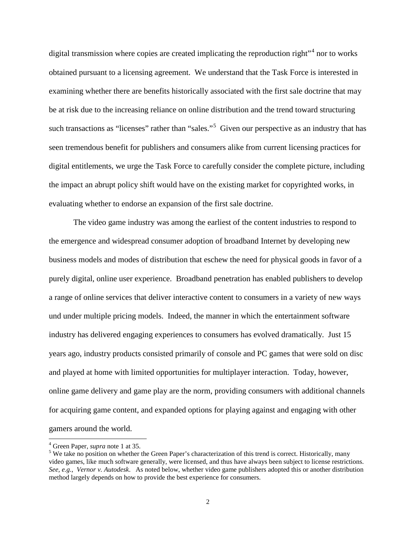digital transmission where copies are created implicating the reproduction right"<sup>[4](#page-2-0)</sup> nor to works obtained pursuant to a licensing agreement. We understand that the Task Force is interested in examining whether there are benefits historically associated with the first sale doctrine that may be at risk due to the increasing reliance on online distribution and the trend toward structuring such transactions as "licenses" rather than "sales."<sup>[5](#page-2-1)</sup> Given our perspective as an industry that has seen tremendous benefit for publishers and consumers alike from current licensing practices for digital entitlements, we urge the Task Force to carefully consider the complete picture, including the impact an abrupt policy shift would have on the existing market for copyrighted works, in evaluating whether to endorse an expansion of the first sale doctrine.

The video game industry was among the earliest of the content industries to respond to the emergence and widespread consumer adoption of broadband Internet by developing new business models and modes of distribution that eschew the need for physical goods in favor of a purely digital, online user experience. Broadband penetration has enabled publishers to develop a range of online services that deliver interactive content to consumers in a variety of new ways und under multiple pricing models. Indeed, the manner in which the entertainment software industry has delivered engaging experiences to consumers has evolved dramatically. Just 15 years ago, industry products consisted primarily of console and PC games that were sold on disc and played at home with limited opportunities for multiplayer interaction. Today, however, online game delivery and game play are the norm, providing consumers with additional channels for acquiring game content, and expanded options for playing against and engaging with other gamers around the world.

<span id="page-2-1"></span><span id="page-2-0"></span><sup>&</sup>lt;sup>4</sup> Green Paper, *supra* note 1 at 35.<br><sup>5</sup> We take no position on whether the Green Paper's characterization of this trend is correct. Historically, many video games, like much software generally, were licensed, and thus have always been subject to license restrictions. *See, e.g., Vernor v. Autodesk*. As noted below, whether video game publishers adopted this or another distribution method largely depends on how to provide the best experience for consumers.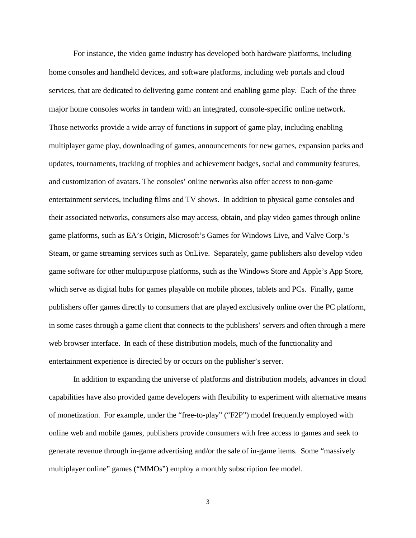For instance, the video game industry has developed both hardware platforms, including home consoles and handheld devices, and software platforms, including web portals and cloud services, that are dedicated to delivering game content and enabling game play. Each of the three major home consoles works in tandem with an integrated, console-specific online network. Those networks provide a wide array of functions in support of game play, including enabling multiplayer game play, downloading of games, announcements for new games, expansion packs and updates, tournaments, tracking of trophies and achievement badges, social and community features, and customization of avatars. The consoles' online networks also offer access to non-game entertainment services, including films and TV shows. In addition to physical game consoles and their associated networks, consumers also may access, obtain, and play video games through online game platforms, such as EA's Origin, Microsoft's Games for Windows Live, and Valve Corp.'s Steam, or game streaming services such as OnLive. Separately, game publishers also develop video game software for other multipurpose platforms, such as the Windows Store and Apple's App Store, which serve as digital hubs for games playable on mobile phones, tablets and PCs. Finally, game publishers offer games directly to consumers that are played exclusively online over the PC platform, in some cases through a game client that connects to the publishers' servers and often through a mere web browser interface. In each of these distribution models, much of the functionality and entertainment experience is directed by or occurs on the publisher's server.

In addition to expanding the universe of platforms and distribution models, advances in cloud capabilities have also provided game developers with flexibility to experiment with alternative means of monetization. For example, under the "free-to-play" ("F2P") model frequently employed with online web and mobile games, publishers provide consumers with free access to games and seek to generate revenue through in-game advertising and/or the sale of in-game items. Some "massively multiplayer online" games ("MMOs") employ a monthly subscription fee model.

3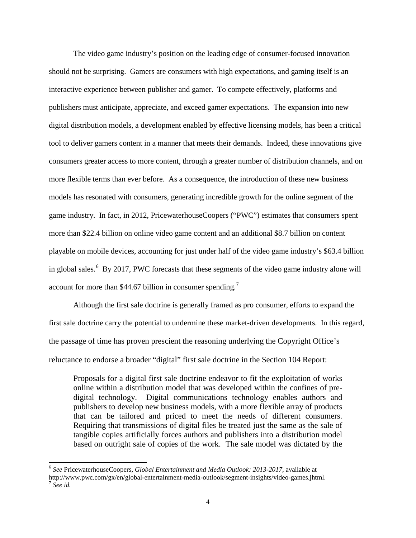The video game industry's position on the leading edge of consumer-focused innovation should not be surprising. Gamers are consumers with high expectations, and gaming itself is an interactive experience between publisher and gamer. To compete effectively, platforms and publishers must anticipate, appreciate, and exceed gamer expectations. The expansion into new digital distribution models, a development enabled by effective licensing models, has been a critical tool to deliver gamers content in a manner that meets their demands. Indeed, these innovations give consumers greater access to more content, through a greater number of distribution channels, and on more flexible terms than ever before. As a consequence, the introduction of these new business models has resonated with consumers, generating incredible growth for the online segment of the game industry. In fact, in 2012, PricewaterhouseCoopers ("PWC") estimates that consumers spent more than \$22.4 billion on online video game content and an additional \$8.7 billion on content playable on mobile devices, accounting for just under half of the video game industry's \$63.4 billion in global sales.<sup>[6](#page-4-0)</sup> By 2017, PWC forecasts that these segments of the video game industry alone will account for more than \$44.6[7](#page-4-1) billion in consumer spending.<sup>7</sup>

Although the first sale doctrine is generally framed as pro consumer, efforts to expand the first sale doctrine carry the potential to undermine these market-driven developments. In this regard, the passage of time has proven prescient the reasoning underlying the Copyright Office's reluctance to endorse a broader "digital" first sale doctrine in the Section 104 Report:

Proposals for a digital first sale doctrine endeavor to fit the exploitation of works online within a distribution model that was developed within the confines of predigital technology. Digital communications technology enables authors and publishers to develop new business models, with a more flexible array of products that can be tailored and priced to meet the needs of different consumers. Requiring that transmissions of digital files be treated just the same as the sale of tangible copies artificially forces authors and publishers into a distribution model based on outright sale of copies of the work. The sale model was dictated by the

<span id="page-4-1"></span><span id="page-4-0"></span> <sup>6</sup> *See* PricewaterhouseCoopers, *Global Entertainment and Media Outlook: 2013-2017*, available at http://www.pwc.com/gx/en/global-entertainment-media-outlook/segment-insights/video-games.jhtml. <sup>7</sup> *See id.*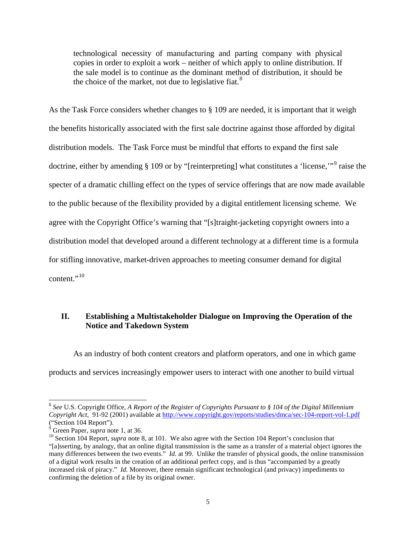technological necessity of manufacturing and parting company with physical copies in order to exploit a work – neither of which apply to online distribution. If the sale model is to continue as the dominant method of distribution, it should be the choice of the market, not due to legislative fiat.<sup>[8](#page-5-0)</sup>

As the Task Force considers whether changes to § 109 are needed, it is important that it weigh the benefits historically associated with the first sale doctrine against those afforded by digital distribution models. The Task Force must be mindful that efforts to expand the first sale doctrine, either by amending § 109 or by "[reinterpreting] what constitutes a 'license,'"[9](#page-5-1) raise the specter of a dramatic chilling effect on the types of service offerings that are now made available to the public because of the flexibility provided by a digital entitlement licensing scheme. We agree with the Copyright Office's warning that "[s]traight-jacketing copyright owners into a distribution model that developed around a different technology at a different time is a formula for stifling innovative, market-driven approaches to meeting consumer demand for digital content."<sup>[10](#page-5-2)</sup>

## **II. Establishing a Multistakeholder Dialogue on Improving the Operation of the Notice and Takedown System**

As an industry of both content creators and platform operators, and one in which game products and services increasingly empower users to interact with one another to build virtual

<span id="page-5-0"></span> <sup>8</sup> *See* U.S. Copyright Office, *A Report of the Register of Copyrights Pursuant to § 104 of the Digital Millennium Copyright Act*, 91-92 (2001) available at<http://www.copyright.gov/reports/studies/dmca/sec-104-report-vol-1.pdf> "Section 104 Report").<br><sup>9</sup> Green Paper, *supra* note 1, at 36.

<span id="page-5-1"></span>

<span id="page-5-2"></span><sup>&</sup>lt;sup>10</sup> Section 104 Report, *supra* note 8, at 101. We also agree with the Section 104 Report's conclusion that "[a]sserting, by analogy, that an online digital transmission is the same as a transfer of a material object ignores the many differences between the two events." *Id.* at 99. Unlike the transfer of physical goods, the online transmission of a digital work results in the creation of an additional perfect copy, and is thus "accompanied by a greatly increased risk of piracy." *Id.* Moreover, there remain significant technological (and privacy) impediments to confirming the deletion of a file by its original owner.